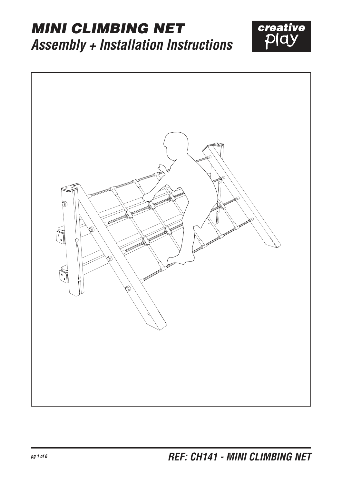## MINI CLIMBING NET **Assembly + Installation Instructions**



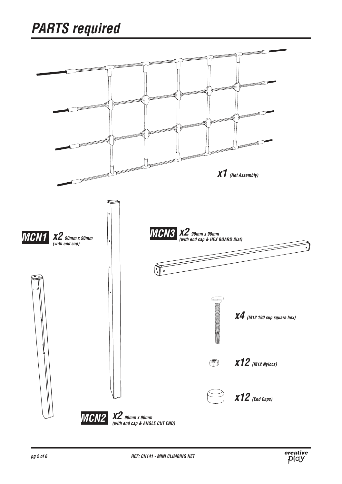

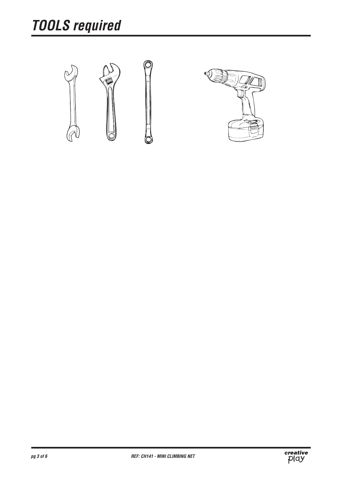

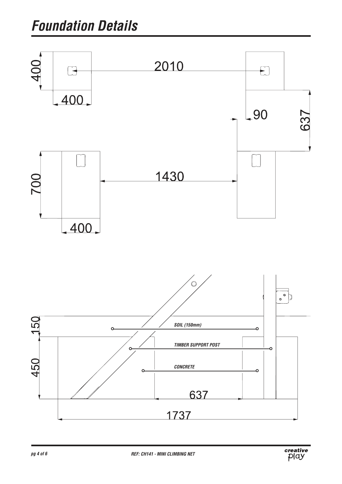

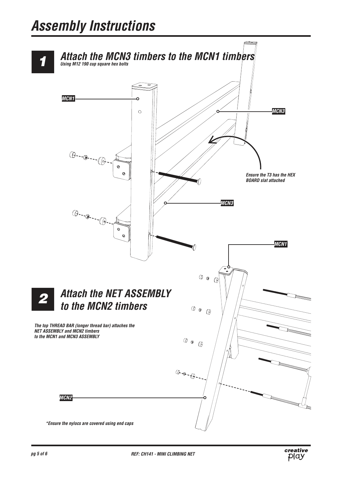![](_page_4_Figure_1.jpeg)